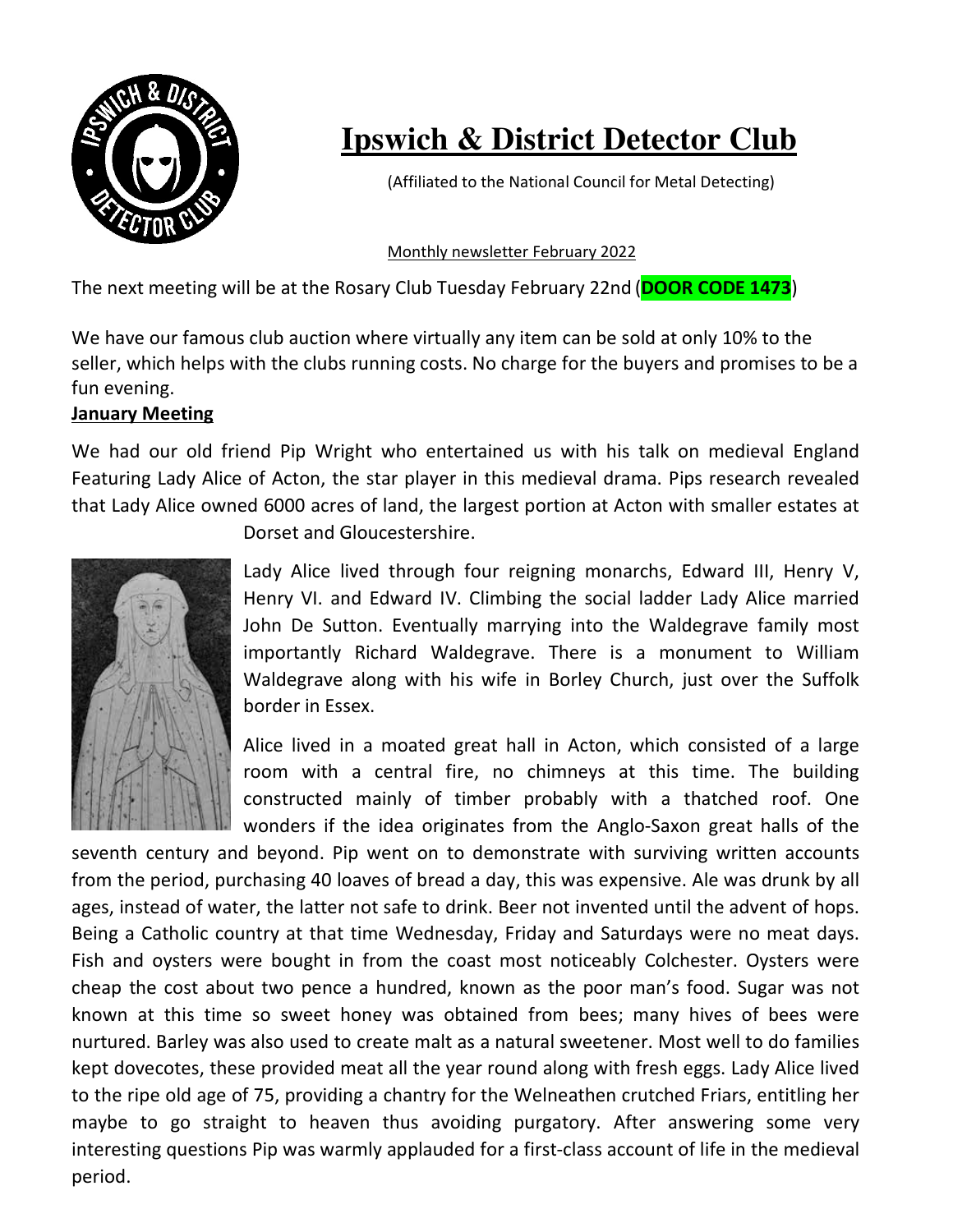

## **Ipswich & District Detector Club**

(Affiliated to the National Council for Metal Detecting)

## Monthly newsletter February 2022

The next meeting will be at the Rosary Club Tuesday February 22nd (**DOOR CODE 1473**)

We have our famous club auction where virtually any item can be sold at only 10% to the seller, which helps with the clubs running costs. No charge for the buyers and promises to be a fun evening.

## **January Meeting**

We had our old friend Pip Wright who entertained us with his talk on medieval England Featuring Lady Alice of Acton, the star player in this medieval drama. Pips research revealed that Lady Alice owned 6000 acres of land, the largest portion at Acton with smaller estates at



Dorset and Gloucestershire.

Lady Alice lived through four reigning monarchs, Edward III, Henry V, Henry VI. and Edward IV. Climbing the social ladder Lady Alice married John De Sutton. Eventually marrying into the Waldegrave family most importantly Richard Waldegrave. There is a monument to William Waldegrave along with his wife in Borley Church, just over the Suffolk border in Essex.

Alice lived in a moated great hall in Acton, which consisted of a large room with a central fire, no chimneys at this time. The building constructed mainly of timber probably with a thatched roof. One wonders if the idea originates from the Anglo-Saxon great halls of the

seventh century and beyond. Pip went on to demonstrate with surviving written accounts from the period, purchasing 40 loaves of bread a day, this was expensive. Ale was drunk by all ages, instead of water, the latter not safe to drink. Beer not invented until the advent of hops. Being a Catholic country at that time Wednesday, Friday and Saturdays were no meat days. Fish and oysters were bought in from the coast most noticeably Colchester. Oysters were cheap the cost about two pence a hundred, known as the poor man's food. Sugar was not known at this time so sweet honey was obtained from bees; many hives of bees were nurtured. Barley was also used to create malt as a natural sweetener. Most well to do families kept dovecotes, these provided meat all the year round along with fresh eggs. Lady Alice lived to the ripe old age of 75, providing a chantry for the Welneathen crutched Friars, entitling her maybe to go straight to heaven thus avoiding purgatory. After answering some very interesting questions Pip was warmly applauded for a first-class account of life in the medieval period.